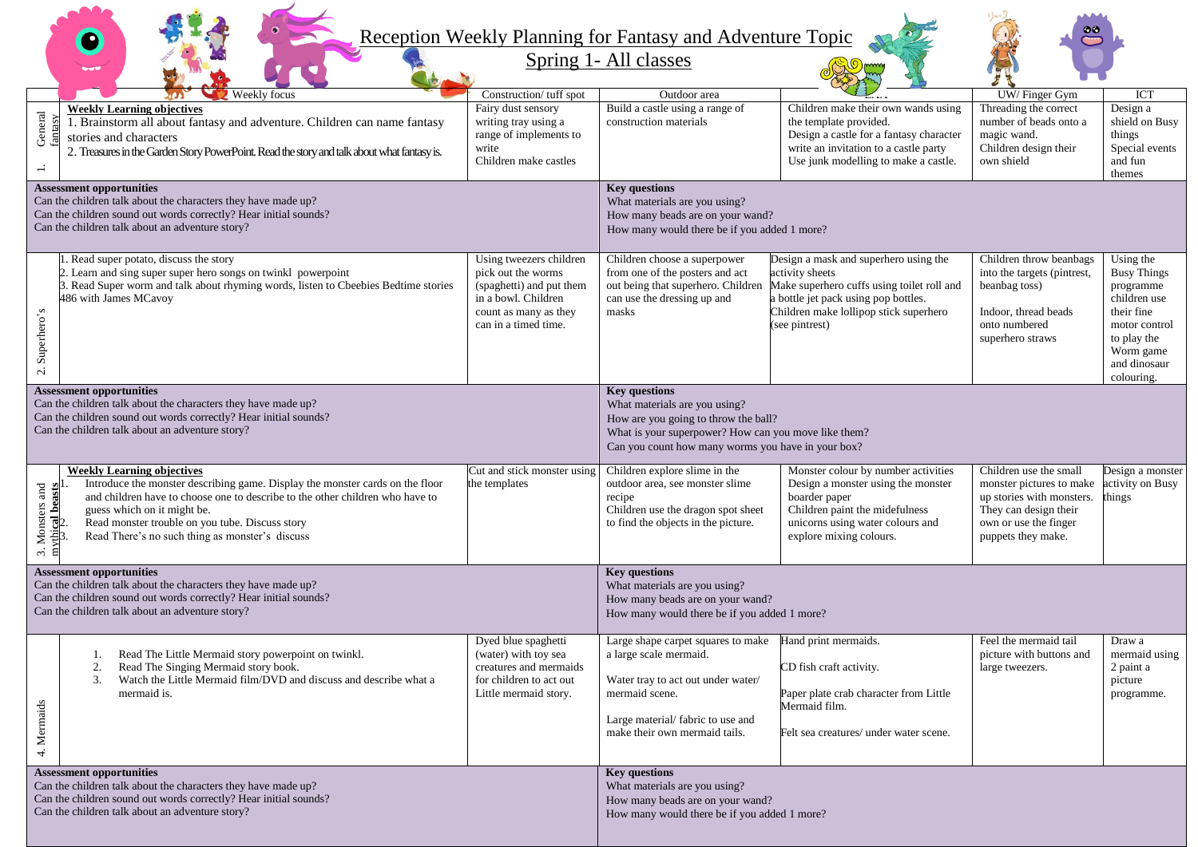## Reception Weekly Planning for Fantasy and Adventure Topic

 $\bullet$ 

Spring 1- All classes

|                                                                                                                                                                                                                         |                                                                                                                                                                                                                                                                                                                                          |                                                                                                                                                   |                                                                                                                                                                                                             |                                                                                                                                                                                                            | タミ                                                                                                                                                      |                                                                                                                                                       |  |
|-------------------------------------------------------------------------------------------------------------------------------------------------------------------------------------------------------------------------|------------------------------------------------------------------------------------------------------------------------------------------------------------------------------------------------------------------------------------------------------------------------------------------------------------------------------------------|---------------------------------------------------------------------------------------------------------------------------------------------------|-------------------------------------------------------------------------------------------------------------------------------------------------------------------------------------------------------------|------------------------------------------------------------------------------------------------------------------------------------------------------------------------------------------------------------|---------------------------------------------------------------------------------------------------------------------------------------------------------|-------------------------------------------------------------------------------------------------------------------------------------------------------|--|
|                                                                                                                                                                                                                         | <b>Weekly focus</b><br>$\pi$                                                                                                                                                                                                                                                                                                             | Construction/ tuff spot                                                                                                                           | Outdoor area                                                                                                                                                                                                |                                                                                                                                                                                                            | UW/Finger Gym                                                                                                                                           | ICT                                                                                                                                                   |  |
| General<br>$\overline{-}$                                                                                                                                                                                               | <b>Weekly Learning objectives</b><br>1. Brainstorm all about fantasy and adventure. Children can name fantasy<br>stories and characters<br>2. Treasures in the Garden Story PowerPoint. Read the story and talk about what fantasy is.                                                                                                   | Fairy dust sensory<br>writing tray using a<br>range of implements to<br>write<br>Children make castles                                            | Build a castle using a range of<br>construction materials                                                                                                                                                   | Children make their own wands using<br>the template provided.<br>Design a castle for a fantasy character<br>write an invitation to a castle party<br>Use junk modelling to make a castle.                  | Threading the correct<br>number of beads onto a<br>magic wand.<br>Children design their<br>own shield                                                   | Design a<br>shield on Busy<br>things<br>Special events<br>and fun<br>themes                                                                           |  |
| <b>Assessment opportunities</b><br>Can the children talk about the characters they have made up?<br>Can the children sound out words correctly? Hear initial sounds?<br>Can the children talk about an adventure story? |                                                                                                                                                                                                                                                                                                                                          |                                                                                                                                                   | <b>Key questions</b><br>What materials are you using?<br>How many beads are on your wand?<br>How many would there be if you added 1 more?                                                                   |                                                                                                                                                                                                            |                                                                                                                                                         |                                                                                                                                                       |  |
| Superhero's<br>$\mathbf{c}$                                                                                                                                                                                             | Read super potato, discuss the story<br>Learn and sing super super hero songs on twinkl powerpoint<br>Read Super worm and talk about rhyming words, listen to Cbeebies Bedtime stories<br>486 with James MCavoy                                                                                                                          | Using tweezers children<br>pick out the worms<br>(spaghetti) and put them<br>in a bowl. Children<br>count as many as they<br>can in a timed time. | Children choose a superpower<br>from one of the posters and act<br>out being that superhero. Children<br>can use the dressing up and<br>masks                                                               | Design a mask and superhero using the<br>activity sheets<br>Make superhero cuffs using toilet roll and<br>a bottle jet pack using pop bottles.<br>Children make lollipop stick superhero<br>(see pintrest) | Children throw beanbags<br>into the targets (pintrest,<br>beanbag toss)<br>Indoor, thread beads<br>onto numbered<br>superhero straws                    | Using the<br><b>Busy Things</b><br>programme<br>children use<br>their fine<br>motor control<br>to play the<br>Worm game<br>and dinosaur<br>colouring. |  |
| <b>Assessment opportunities</b><br>Can the children talk about the characters they have made up?<br>Can the children sound out words correctly? Hear initial sounds?<br>Can the children talk about an adventure story? |                                                                                                                                                                                                                                                                                                                                          |                                                                                                                                                   | <b>Key questions</b><br>What materials are you using?<br>How are you going to throw the ball?<br>What is your superpower? How can you move like them?<br>Can you count how many worms you have in your box? |                                                                                                                                                                                                            |                                                                                                                                                         |                                                                                                                                                       |  |
| Monsters and<br>$\frac{1}{2}$ beasts<br>$\sim$<br>日                                                                                                                                                                     | <b>Weekly Learning objectives</b><br>Introduce the monster describing game. Display the monster cards on the floor<br>and children have to choose one to describe to the other children who have to<br>guess which on it might be.<br>Read monster trouble on you tube. Discuss story<br>Read There's no such thing as monster's discuss | Cut and stick monster using<br>the templates                                                                                                      | Children explore slime in the<br>outdoor area, see monster slime<br>recipe<br>Children use the dragon spot sheet<br>to find the objects in the picture.                                                     | Monster colour by number activities<br>Design a monster using the monster<br>boarder paper<br>Children paint the midefulness<br>unicorns using water colours and<br>explore mixing colours.                | Children use the small<br>monster pictures to make<br>up stories with monsters.<br>They can design their<br>own or use the finger<br>puppets they make. | Design a monster<br>activity on Busy<br>hings                                                                                                         |  |
| <b>Assessment opportunities</b><br>Can the children talk about the characters they have made up?<br>Can the children sound out words correctly? Hear initial sounds?<br>Can the children talk about an adventure story? |                                                                                                                                                                                                                                                                                                                                          |                                                                                                                                                   | <b>Key questions</b><br>What materials are you using?<br>How many beads are on your wand?<br>How many would there be if you added 1 more?                                                                   |                                                                                                                                                                                                            |                                                                                                                                                         |                                                                                                                                                       |  |
| å.<br>4. Merma                                                                                                                                                                                                          | Read The Little Mermaid story powerpoint on twinkl.<br>1.<br>Read The Singing Mermaid story book.<br>2.<br>Watch the Little Mermaid film/DVD and discuss and describe what a<br>3.<br>mermaid is.                                                                                                                                        | Dyed blue spaghetti<br>(water) with toy sea<br>creatures and mermaids<br>for children to act out<br>Little mermaid story.                         | Large shape carpet squares to make<br>a large scale mermaid.<br>Water tray to act out under water/<br>mermaid scene.<br>Large material/fabric to use and<br>make their own mermaid tails.                   | Hand print mermaids.<br>CD fish craft activity.<br>Paper plate crab character from Little<br>Mermaid film.<br>Felt sea creatures/ under water scene.                                                       | Feel the mermaid tail<br>picture with buttons and<br>large tweezers.                                                                                    | Draw a<br>mermaid using<br>2 paint a<br>picture<br>programme.                                                                                         |  |
| <b>Assessment opportunities</b><br>Can the children talk about the characters they have made up?<br>Can the children sound out words correctly? Hear initial sounds?<br>Can the children talk about an adventure story? |                                                                                                                                                                                                                                                                                                                                          |                                                                                                                                                   | <b>Key questions</b><br>What materials are you using?<br>How many beads are on your wand?<br>How many would there be if you added 1 more?                                                                   |                                                                                                                                                                                                            |                                                                                                                                                         |                                                                                                                                                       |  |